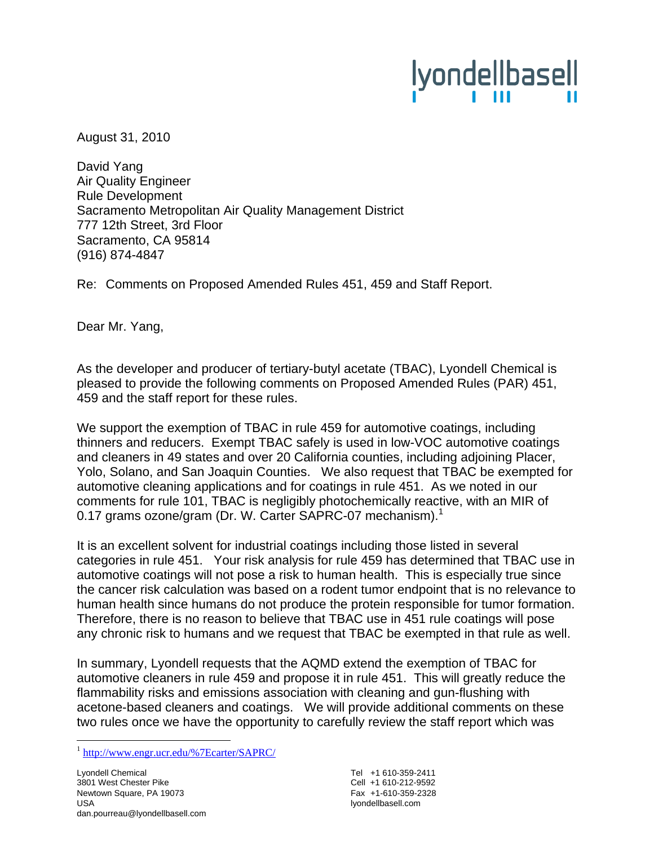# lyondellbasell

August 31, 2010

David Yang Air Quality Engineer Rule Development Sacramento Metropolitan Air Quality Management District 777 12th Street, 3rd Floor Sacramento, CA 95814 (916) 874-4847

Re: Comments on Proposed Amended Rules 451, 459 and Staff Report.

Dear Mr. Yang,

As the developer and producer of tertiary-butyl acetate (TBAC), Lyondell Chemical is pleased to provide the following comments on Proposed Amended Rules (PAR) 451, 459 and the staff report for these rules.

We support the exemption of TBAC in rule 459 for automotive coatings, including thinners and reducers. Exempt TBAC safely is used in low-VOC automotive coatings and cleaners in 49 states and over 20 California counties, including adjoining Placer, Yolo, Solano, and San Joaquin Counties. We also request that TBAC be exempted for automotive cleaning applications and for coatings in rule 451. As we noted in our comments for rule 101, TBAC is negligibly photochemically reactive, with an MIR of 0.17 grams ozone/gram (Dr. W. Carter SAPRC-07 mechanism).<sup>1</sup>

It is an excellent solvent for industrial coatings including those listed in several categories in rule 451. Your risk analysis for rule 459 has determined that TBAC use in automotive coatings will not pose a risk to human health. This is especially true since the cancer risk calculation was based on a rodent tumor endpoint that is no relevance to human health since humans do not produce the protein responsible for tumor formation. Therefore, there is no reason to believe that TBAC use in 451 rule coatings will pose any chronic risk to humans and we request that TBAC be exempted in that rule as well.

In summary, Lyondell requests that the AQMD extend the exemption of TBAC for automotive cleaners in rule 459 and propose it in rule 451. This will greatly reduce the flammability risks and emissions association with cleaning and gun-flushing with acetone-based cleaners and coatings. We will provide additional comments on these two rules once we have the opportunity to carefully review the staff report which was

 $\overline{a}$ 

Tel +1 610-359-2411 Cell +1 610-212-9592 Fax +1-610-359-2328 lyondellbasell.com

<sup>1</sup> http://www.engr.ucr.edu/%7Ecarter/SAPRC/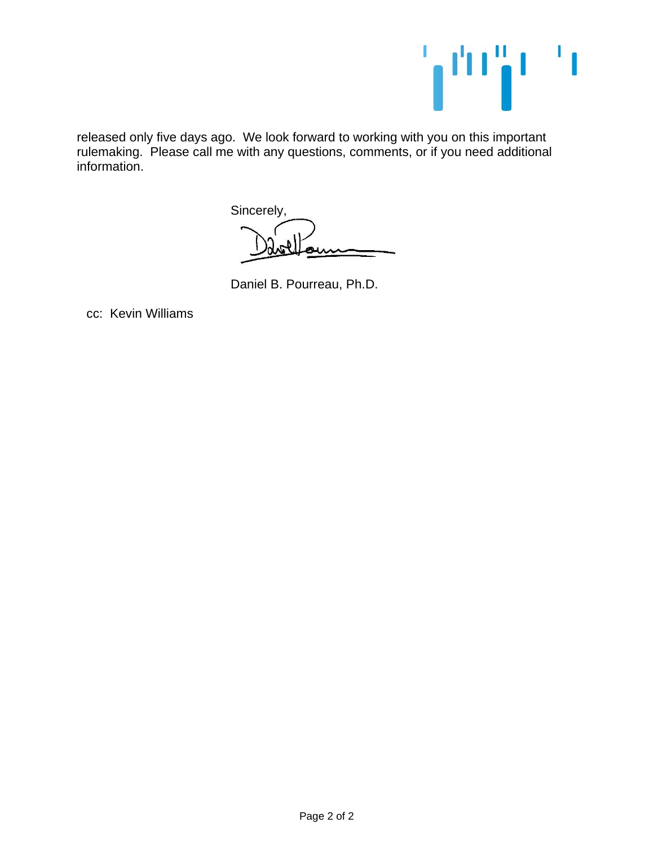

released only five days ago. We look forward to working with you on this important rulemaking. Please call me with any questions, comments, or if you need additional information.

Sincerely,

Daniel B. Pourreau, Ph.D.

cc: Kevin Williams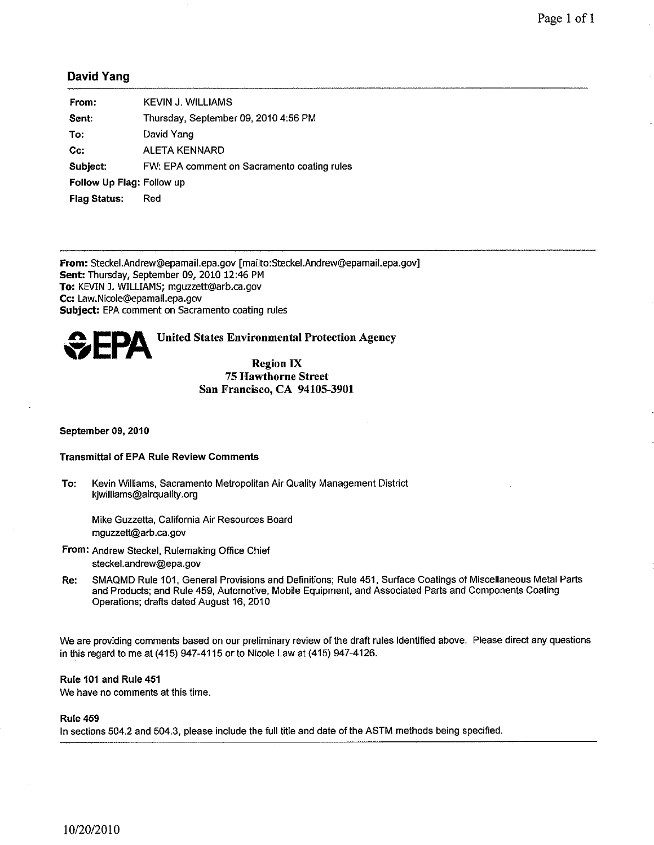#### **David Yang**

| From:                     | KEVIN J. WILLIAMS                           |
|---------------------------|---------------------------------------------|
| Sent:                     | Thursday, September 09, 2010 4:56 PM        |
| To:                       | David Yang                                  |
| $Cc$ :                    | <b>ALETA KENNARD</b>                        |
| Subject:                  | FW: EPA comment on Sacramento coating rules |
| Follow Up Flag: Follow up |                                             |
| <b>Flag Status:</b>       | Red                                         |

From: Steckel.Andrew@epamail.epa.gov [mailto:Steckel.Andrew@epamail.epa.gov] Sent: Thursday, September 09, 2010 12:46 PM To: KEVIN J. WILLIAMS; mguzzett@arb.ca.gov Cc: Law.Nicole@epamail.epa.gov **Subject:** EPA comment on Sacramento coating rules



**United States Environmental Protection Agency** 

#### **Region IX 75 Hawthorne Street** San Francisco, CA 94105-3901

September 09, 2010

#### **Transmittal of EPA Rule Review Comments**

Kevin Williams, Sacramento Metropolitan Air Quality Management District To: kjwilliams@airquality.org

Mike Guzzetta, California Air Resources Board mquzzett@arb.ca.gov

- From: Andrew Steckel, Rulemaking Office Chief steckel.andrew@epa.gov
- SMAQMD Rule 101, General Provisions and Definitions; Rule 451, Surface Coatings of Miscellaneous Metal Parts Re: and Products; and Rule 459, Automotive, Mobile Equipment, and Associated Parts and Components Coating Operations; drafts dated August 16, 2010

We are providing comments based on our preliminary review of the draft rules identified above. Please direct any questions in this regard to me at (415) 947-4115 or to Nicole Law at (415) 947-4126.

#### Rule 101 and Rule 451

We have no comments at this time.

#### **Rule 459**

In sections 504.2 and 504.3, please include the full title and date of the ASTM methods being specified.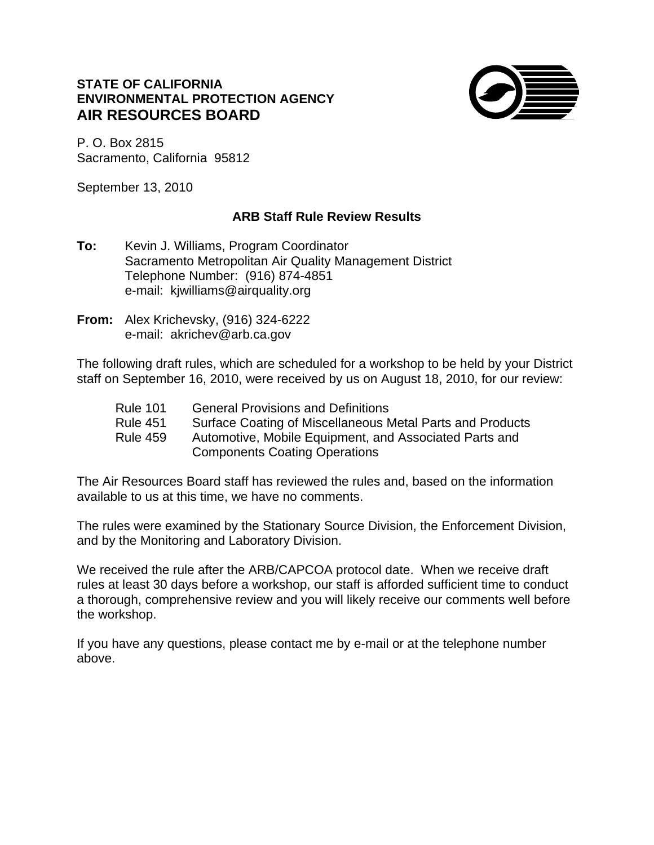## **STATE OF CALIFORNIA ENVIRONMENTAL PROTECTION AGENCY AIR RESOURCES BOARD**



P. O. Box 2815 Sacramento, California 95812

September 13, 2010

## **ARB Staff Rule Review Results**

- **To:** Kevin J. Williams, Program Coordinator Sacramento Metropolitan Air Quality Management District Telephone Number: (916) 874-4851 e-mail: kjwilliams@airquality.org
- **From:** Alex Krichevsky, (916) 324-6222 e-mail: akrichev@arb.ca.gov

The following draft rules, which are scheduled for a workshop to be held by your District staff on September 16, 2010, were received by us on August 18, 2010, for our review:

| <b>Rule 101</b> | <b>General Provisions and Definitions</b>                                                      |
|-----------------|------------------------------------------------------------------------------------------------|
| <b>Rule 451</b> | Surface Coating of Miscellaneous Metal Parts and Products                                      |
| <b>Rule 459</b> | Automotive, Mobile Equipment, and Associated Parts and<br><b>Components Coating Operations</b> |

The Air Resources Board staff has reviewed the rules and, based on the information available to us at this time, we have no comments.

The rules were examined by the Stationary Source Division, the Enforcement Division, and by the Monitoring and Laboratory Division.

We received the rule after the ARB/CAPCOA protocol date. When we receive draft rules at least 30 days before a workshop, our staff is afforded sufficient time to conduct a thorough, comprehensive review and you will likely receive our comments well before the workshop.

If you have any questions, please contact me by e-mail or at the telephone number above.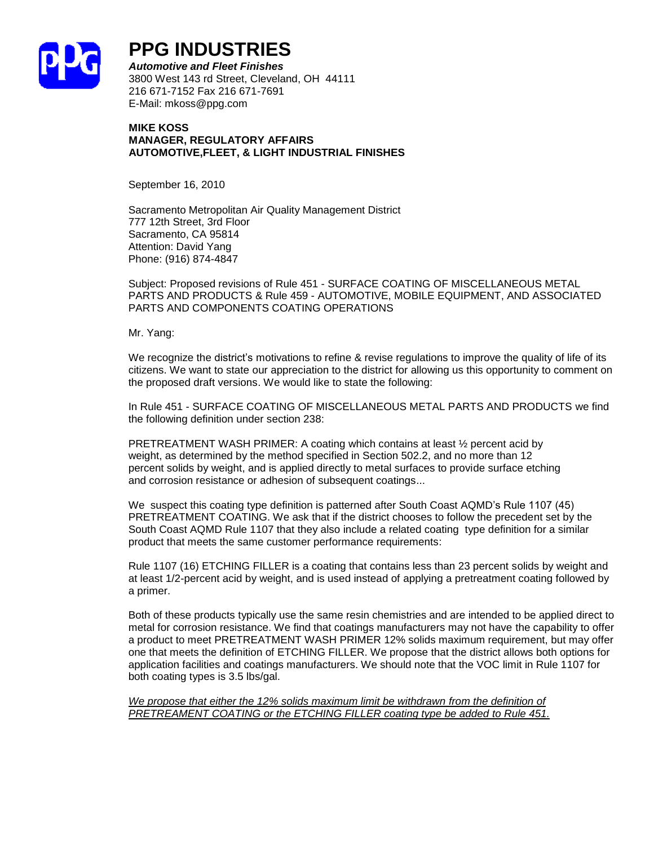

## **PPG INDUSTRIES**

*Automotive and Fleet Finishes* 3800 West 143 rd Street, Cleveland, OH 44111 216 671-7152 Fax 216 671-7691 E-Mail: mkoss@ppg.com

#### **MIKE KOSS MANAGER, REGULATORY AFFAIRS AUTOMOTIVE,FLEET, & LIGHT INDUSTRIAL FINISHES**

September 16, 2010

Sacramento Metropolitan Air Quality Management District 777 12th Street, 3rd Floor Sacramento, CA 95814 Attention: David Yang Phone: (916) 874-4847

Subject: Proposed revisions of Rule 451 - SURFACE COATING OF MISCELLANEOUS METAL PARTS AND PRODUCTS & Rule 459 - AUTOMOTIVE, MOBILE EQUIPMENT, AND ASSOCIATED PARTS AND COMPONENTS COATING OPERATIONS

Mr. Yang:

We recognize the district's motivations to refine & revise regulations to improve the quality of life of its citizens. We want to state our appreciation to the district for allowing us this opportunity to comment on the proposed draft versions. We would like to state the following:

In Rule 451 - SURFACE COATING OF MISCELLANEOUS METAL PARTS AND PRODUCTS we find the following definition under section 238:

PRETREATMENT WASH PRIMER: A coating which contains at least ½ percent acid by weight, as determined by the method specified in Section 502.2, and no more than 12 percent solids by weight, and is applied directly to metal surfaces to provide surface etching and corrosion resistance or adhesion of subsequent coatings...

We suspect this coating type definition is patterned after South Coast AQMD's Rule 1107 (45) PRETREATMENT COATING. We ask that if the district chooses to follow the precedent set by the South Coast AQMD Rule 1107 that they also include a related coating type definition for a similar product that meets the same customer performance requirements:

Rule 1107 (16) ETCHING FILLER is a coating that contains less than 23 percent solids by weight and at least 1/2-percent acid by weight, and is used instead of applying a pretreatment coating followed by a primer.

Both of these products typically use the same resin chemistries and are intended to be applied direct to metal for corrosion resistance. We find that coatings manufacturers may not have the capability to offer a product to meet PRETREATMENT WASH PRIMER 12% solids maximum requirement, but may offer one that meets the definition of ETCHING FILLER. We propose that the district allows both options for application facilities and coatings manufacturers. We should note that the VOC limit in Rule 1107 for both coating types is 3.5 lbs/gal.

*We propose that either the 12% solids maximum limit be withdrawn from the definition of PRETREAMENT COATING or the ETCHING FILLER coating type be added to Rule 451.*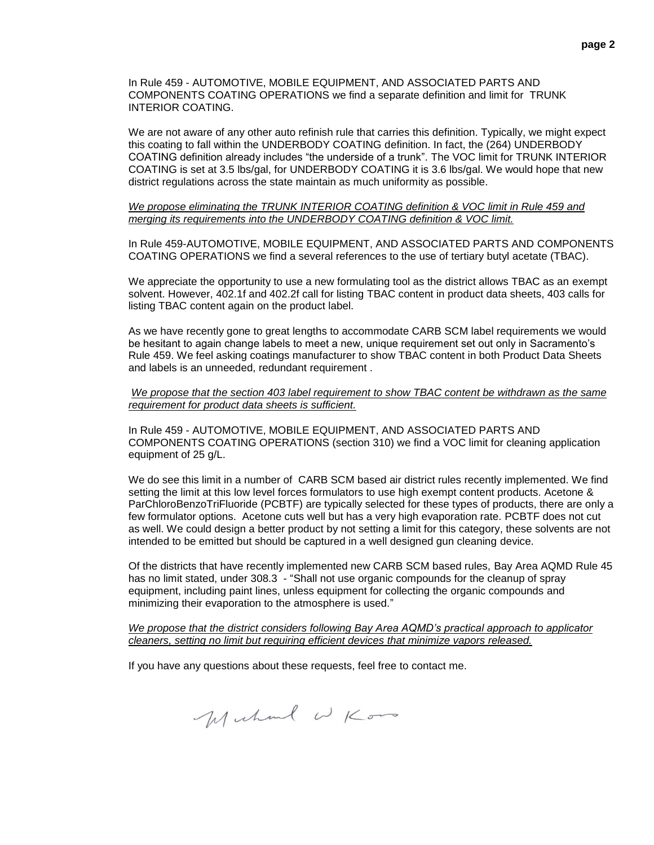In Rule 459 - AUTOMOTIVE, MOBILE EQUIPMENT, AND ASSOCIATED PARTS AND COMPONENTS COATING OPERATIONS we find a separate definition and limit for TRUNK INTERIOR COATING.

We are not aware of any other auto refinish rule that carries this definition. Typically, we might expect this coating to fall within the UNDERBODY COATING definition. In fact, the (264) UNDERBODY COATING definition already includes "the underside of a trunk". The VOC limit for TRUNK INTERIOR COATING is set at 3.5 lbs/gal, for UNDERBODY COATING it is 3.6 lbs/gal. We would hope that new district regulations across the state maintain as much uniformity as possible.

#### *We propose eliminating the TRUNK INTERIOR COATING definition & VOC limit in Rule 459 and merging its requirements into the UNDERBODY COATING definition & VOC limit.*

In Rule 459-AUTOMOTIVE, MOBILE EQUIPMENT, AND ASSOCIATED PARTS AND COMPONENTS COATING OPERATIONS we find a several references to the use of tertiary butyl acetate (TBAC).

We appreciate the opportunity to use a new formulating tool as the district allows TBAC as an exempt solvent. However, 402.1f and 402.2f call for listing TBAC content in product data sheets, 403 calls for listing TBAC content again on the product label.

As we have recently gone to great lengths to accommodate CARB SCM label requirements we would be hesitant to again change labels to meet a new, unique requirement set out only in Sacramento's Rule 459. We feel asking coatings manufacturer to show TBAC content in both Product Data Sheets and labels is an unneeded, redundant requirement .

#### *We propose that the section 403 label requirement to show TBAC content be withdrawn as the same requirement for product data sheets is sufficient.*

In Rule 459 - AUTOMOTIVE, MOBILE EQUIPMENT, AND ASSOCIATED PARTS AND COMPONENTS COATING OPERATIONS (section 310) we find a VOC limit for cleaning application equipment of 25 g/L.

We do see this limit in a number of CARB SCM based air district rules recently implemented. We find setting the limit at this low level forces formulators to use high exempt content products. Acetone & ParChloroBenzoTriFluoride (PCBTF) are typically selected for these types of products, there are only a few formulator options. Acetone cuts well but has a very high evaporation rate. PCBTF does not cut as well. We could design a better product by not setting a limit for this category, these solvents are not intended to be emitted but should be captured in a well designed gun cleaning device.

Of the districts that have recently implemented new CARB SCM based rules, Bay Area AQMD Rule 45 has no limit stated, under 308.3 - "Shall not use organic compounds for the cleanup of spray equipment, including paint lines, unless equipment for collecting the organic compounds and minimizing their evaporation to the atmosphere is used."

#### *We propose that the district considers following Bay Area AQMD's practical approach to applicator cleaners, setting no limit but requiring efficient devices that minimize vapors released.*

If you have any questions about these requests, feel free to contact me.

Muhal WKoo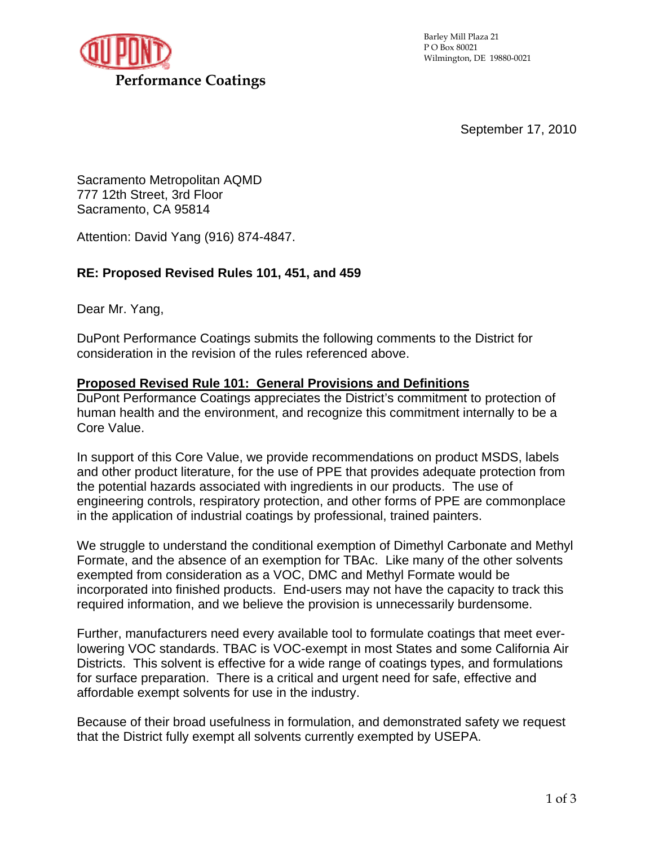

September 17, 2010

Sacramento Metropolitan AQMD 777 12th Street, 3rd Floor Sacramento, CA 95814

Attention: David Yang (916) 874-4847.

## **RE: Proposed Revised Rules 101, 451, and 459**

Dear Mr. Yang,

DuPont Performance Coatings submits the following comments to the District for consideration in the revision of the rules referenced above.

## **Proposed Revised Rule 101: General Provisions and Definitions**

DuPont Performance Coatings appreciates the District's commitment to protection of human health and the environment, and recognize this commitment internally to be a Core Value.

In support of this Core Value, we provide recommendations on product MSDS, labels and other product literature, for the use of PPE that provides adequate protection from the potential hazards associated with ingredients in our products. The use of engineering controls, respiratory protection, and other forms of PPE are commonplace in the application of industrial coatings by professional, trained painters.

We struggle to understand the conditional exemption of Dimethyl Carbonate and Methyl Formate, and the absence of an exemption for TBAc. Like many of the other solvents exempted from consideration as a VOC, DMC and Methyl Formate would be incorporated into finished products. End-users may not have the capacity to track this required information, and we believe the provision is unnecessarily burdensome.

Further, manufacturers need every available tool to formulate coatings that meet everlowering VOC standards. TBAC is VOC-exempt in most States and some California Air Districts. This solvent is effective for a wide range of coatings types, and formulations for surface preparation. There is a critical and urgent need for safe, effective and affordable exempt solvents for use in the industry.

Because of their broad usefulness in formulation, and demonstrated safety we request that the District fully exempt all solvents currently exempted by USEPA.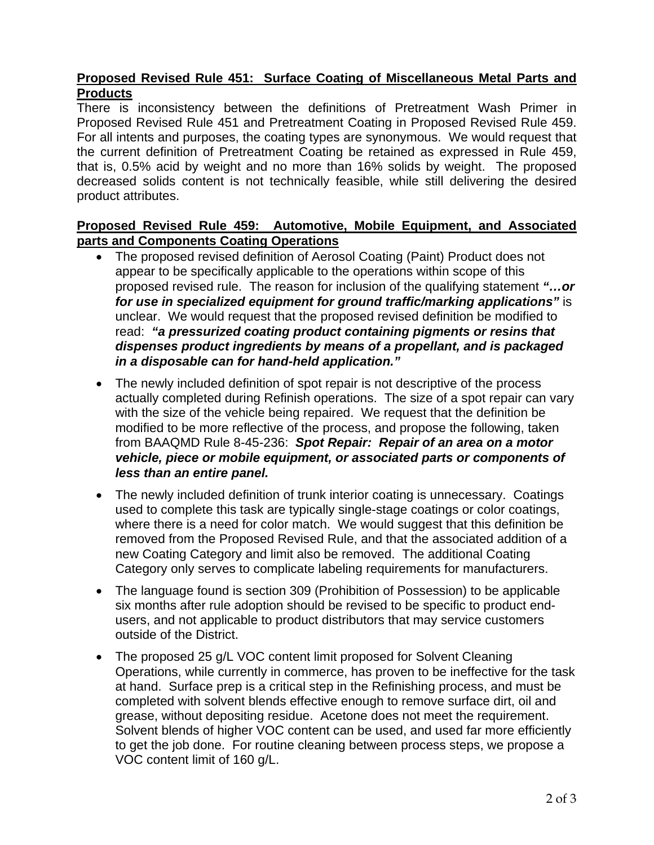## **Proposed Revised Rule 451: Surface Coating of Miscellaneous Metal Parts and Products**

There is inconsistency between the definitions of Pretreatment Wash Primer in Proposed Revised Rule 451 and Pretreatment Coating in Proposed Revised Rule 459. For all intents and purposes, the coating types are synonymous. We would request that the current definition of Pretreatment Coating be retained as expressed in Rule 459, that is, 0.5% acid by weight and no more than 16% solids by weight. The proposed decreased solids content is not technically feasible, while still delivering the desired product attributes.

## **Proposed Revised Rule 459: Automotive, Mobile Equipment, and Associated parts and Components Coating Operations**

- The proposed revised definition of Aerosol Coating (Paint) Product does not appear to be specifically applicable to the operations within scope of this proposed revised rule. The reason for inclusion of the qualifying statement *"…or for use in specialized equipment for ground traffic/marking applications"* is unclear. We would request that the proposed revised definition be modified to read: *"a pressurized coating product containing pigments or resins that dispenses product ingredients by means of a propellant, and is packaged in a disposable can for hand-held application."*
- The newly included definition of spot repair is not descriptive of the process actually completed during Refinish operations. The size of a spot repair can vary with the size of the vehicle being repaired. We request that the definition be modified to be more reflective of the process, and propose the following, taken from BAAQMD Rule 8-45-236: *Spot Repair: Repair of an area on a motor vehicle, piece or mobile equipment, or associated parts or components of less than an entire panel.*
- The newly included definition of trunk interior coating is unnecessary. Coatings used to complete this task are typically single-stage coatings or color coatings, where there is a need for color match. We would suggest that this definition be removed from the Proposed Revised Rule, and that the associated addition of a new Coating Category and limit also be removed. The additional Coating Category only serves to complicate labeling requirements for manufacturers.
- The language found is section 309 (Prohibition of Possession) to be applicable six months after rule adoption should be revised to be specific to product endusers, and not applicable to product distributors that may service customers outside of the District.
- The proposed 25 g/L VOC content limit proposed for Solvent Cleaning Operations, while currently in commerce, has proven to be ineffective for the task at hand. Surface prep is a critical step in the Refinishing process, and must be completed with solvent blends effective enough to remove surface dirt, oil and grease, without depositing residue. Acetone does not meet the requirement. Solvent blends of higher VOC content can be used, and used far more efficiently to get the job done. For routine cleaning between process steps, we propose a VOC content limit of 160 g/L.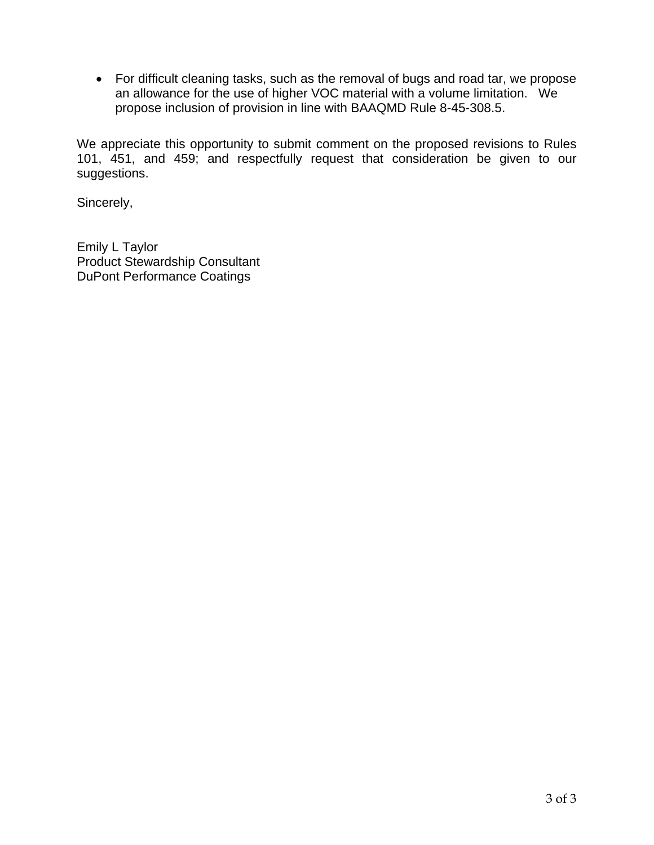• For difficult cleaning tasks, such as the removal of bugs and road tar, we propose an allowance for the use of higher VOC material with a volume limitation. We propose inclusion of provision in line with BAAQMD Rule 8-45-308.5.

We appreciate this opportunity to submit comment on the proposed revisions to Rules 101, 451, and 459; and respectfully request that consideration be given to our suggestions.

Sincerely,

Emily L Taylor Product Stewardship Consultant DuPont Performance Coatings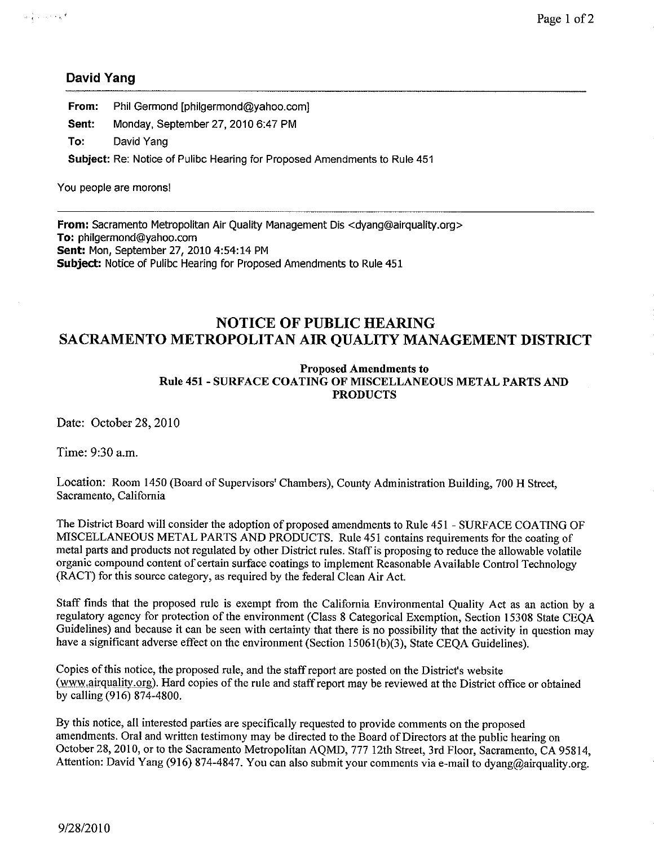## **David Yang**

From: Phil Germond [philgermond@yahoo.com]

Sent: Monday, September 27, 2010 6:47 PM

To: David Yang

Subject: Re: Notice of Pulibc Hearing for Proposed Amendments to Rule 451

You people are morons!

From: Sacramento Metropolitan Air Quality Management Dis <dyang@airquality.org> To: philgermond@yahoo.com Sent: Mon, September 27, 2010 4:54:14 PM Subject: Notice of Pulibc Hearing for Proposed Amendments to Rule 451

## **NOTICE OF PUBLIC HEARING** SACRAMENTO METROPOLITAN AIR QUALITY MANAGEMENT DISTRICT

#### **Proposed Amendments to** Rule 451 - SURFACE COATING OF MISCELLANEOUS METAL PARTS AND **PRODUCTS**

Date: October 28, 2010

Time: 9:30 a.m.

Location: Room 1450 (Board of Supervisors' Chambers), County Administration Building, 700 H Street, Sacramento, California

The District Board will consider the adoption of proposed amendments to Rule 451 - SURFACE COATING OF MISCELLANEOUS METAL PARTS AND PRODUCTS. Rule 451 contains requirements for the coating of metal parts and products not regulated by other District rules. Staff is proposing to reduce the allowable volatile organic compound content of certain surface coatings to implement Reasonable Available Control Technology (RACT) for this source category, as required by the federal Clean Air Act.

Staff finds that the proposed rule is exempt from the California Environmental Quality Act as an action by a regulatory agency for protection of the environment (Class 8 Categorical Exemption, Section 15308 State CEOA Guidelines) and because it can be seen with certainty that there is no possibility that the activity in question may have a significant adverse effect on the environment (Section 15061(b)(3), State CEOA Guidelines).

Copies of this notice, the proposed rule, and the staff report are posted on the District's website (www.airquality.org). Hard copies of the rule and staff report may be reviewed at the District office or obtained by calling (916) 874-4800.

By this notice, all interested parties are specifically requested to provide comments on the proposed amendments. Oral and written testimony may be directed to the Board of Directors at the public hearing on October 28, 2010, or to the Sacramento Metropolitan AQMD, 777 12th Street, 3rd Floor, Sacramento, CA 95814, Attention: David Yang (916) 874-4847. You can also submit your comments via e-mail to dyang@airquality.org.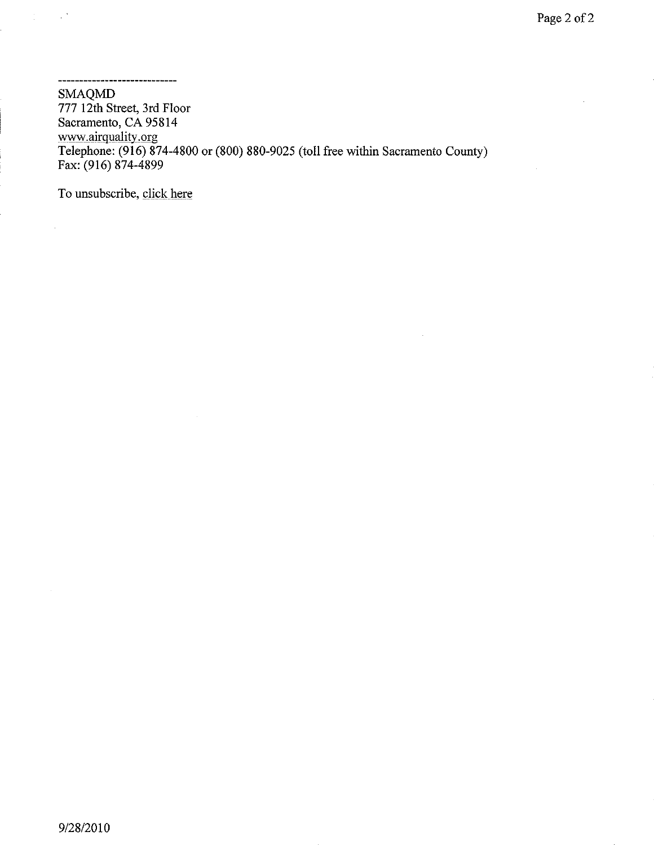**SMAQMD** 777 12th Street, 3rd Floor Sacramento, CA 95814 www.airquality.org<br>Telephone: (916) 874-4800 or (800) 880-9025 (toll free within Sacramento County) Fax: (916) 874-4899

To unsubscribe, click here

------------------------------

 $\mathcal{X} \subset \mathbb{R}^N$ 

 $\bar{\beta}$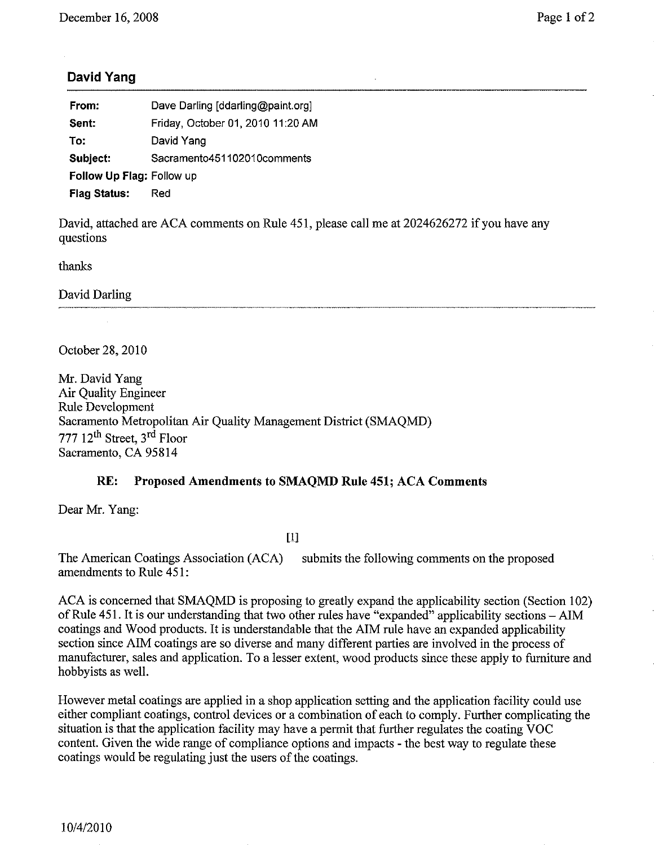## **David Yang**

| From:                     | Dave Darling [ddarling@paint.org] |
|---------------------------|-----------------------------------|
| Sent:                     | Friday, October 01, 2010 11:20 AM |
| To:                       | David Yang                        |
| Subject:                  | Sacramento451102010comments       |
| Follow Up Flag: Follow up |                                   |
| <b>Flag Status:</b>       | Red                               |

David, attached are ACA comments on Rule 451, please call me at 2024626272 if you have any questions

thanks

David Darling

October 28, 2010

Mr. David Yang **Air Ouality Engineer** Rule Development Sacramento Metropolitan Air Quality Management District (SMAOMD) 777 12<sup>th</sup> Street, 3<sup>rd</sup> Floor Sacramento, CA 95814

#### $RE:$ Proposed Amendments to SMAQMD Rule 451; ACA Comments

Dear Mr. Yang:

 $[1]$ 

The American Coatings Association (ACA) submits the following comments on the proposed amendments to Rule 451:

ACA is concerned that SMAQMD is proposing to greatly expand the applicability section (Section 102) of Rule 451. It is our understanding that two other rules have "expanded" applicability sections – AIM coatings and Wood products. It is understandable that the AIM rule have an expanded applicability section since AIM coatings are so diverse and many different parties are involved in the process of manufacturer, sales and application. To a lesser extent, wood products since these apply to furniture and hobbyists as well.

However metal coatings are applied in a shop application setting and the application facility could use either compliant coatings, control devices or a combination of each to comply. Further complicating the situation is that the application facility may have a permit that further regulates the coating VOC content. Given the wide range of compliance options and impacts - the best way to regulate these coatings would be regulating just the users of the coatings.